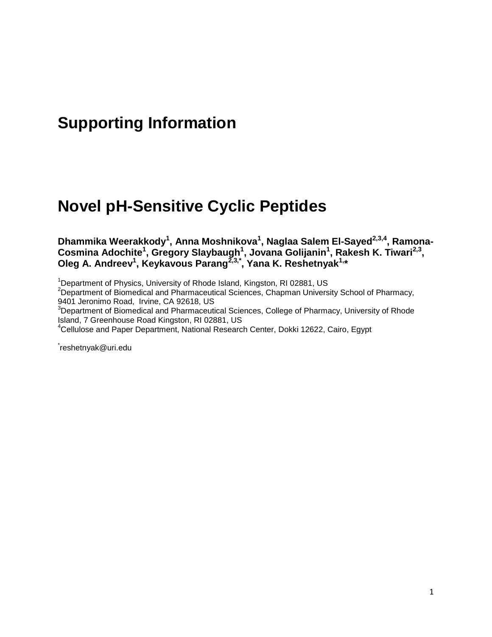## **Supporting Information**

# **Novel pH-Sensitive Cyclic Peptides**

**Dhammika Weerakkody<sup>1</sup> , Anna Moshnikova<sup>1</sup> , Naglaa Salem El-Sayed2,3,4, Ramona-Cosmina Adochite<sup>1</sup> , Gregory Slaybaugh<sup>1</sup> , Jovana Golijanin<sup>1</sup> , Rakesh K. Tiwari2,3 , Oleg A. Andreev<sup>1</sup> , Keykavous Parang2,3,\* , Yana K. Reshetnyak1, \***

<sup>1</sup>Department of Physics, University of Rhode Island, Kingston, RI 02881, US

<sup>2</sup>Department of Biomedical and Pharmaceutical Sciences, Chapman University School of Pharmacy, 9401 Jeronimo Road, Irvine, CA 92618, US

 $3$ Department of Biomedical and Pharmaceutical Sciences, College of Pharmacy, University of Rhode Island, 7 Greenhouse Road Kingston, RI 02881, US

<sup>4</sup>Cellulose and Paper Department, National Research Center, Dokki 12622, Cairo, Egypt

\* reshetnyak@uri.edu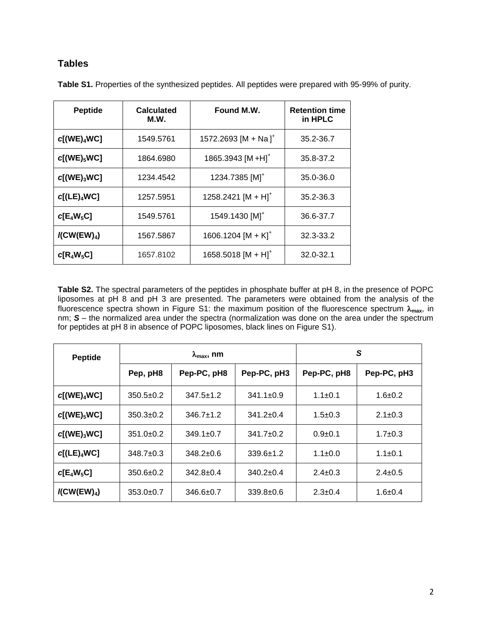#### **Tables**

| <b>Peptide</b>                      | <b>Calculated</b><br>M.W. | Found M.W.                       | <b>Retention time</b><br>in HPLC |
|-------------------------------------|---------------------------|----------------------------------|----------------------------------|
| $c[(WE)_4WC]$                       | 1549.5761                 | 1572.2693 [M + Na] <sup>+</sup>  | 35.2-36.7                        |
| $c[(WE)_5WC]$                       | 1864.6980                 | 1865.3943 [M + H] <sup>+</sup>   | 35.8-37.2                        |
| $c[(WE)_3WC]$                       | 1234.4542                 | 1234.7385 [M] <sup>+</sup>       | 35.0-36.0                        |
| $c[(LE)_4 WC]$                      | 1257.5951                 | 1258.2421 $[M + H]$ <sup>+</sup> | 35.2-36.3                        |
| $c[E_4W_5C]$                        | 1549.5761                 | 1549.1430 [M] <sup>+</sup>       | 36.6-37.7                        |
| $\mathcal{K}$ CW(EW) <sub>4</sub> ) | 1567.5867                 | 1606.1204 [M + K] <sup>+</sup>   | 32.3-33.2                        |
| $c[R_4W_5C]$                        | 1657.8102                 | $1658.5018$ [M + H] <sup>+</sup> | 32.0-32.1                        |

**Table S1.** Properties of the synthesized peptides. All peptides were prepared with 95-99% of purity.

**Table S2.** The spectral parameters of the peptides in phosphate buffer at pH 8, in the presence of POPC liposomes at pH 8 and pH 3 are presented. The parameters were obtained from the analysis of the fluorescence spectra shown in Figure S1: the maximum position of the fluorescence spectrum  $\lambda_{\text{max}}$ , in nm; *S* – the normalized area under the spectra (normalization was done on the area under the spectrum for peptides at pH 8 in absence of POPC liposomes, black lines on Figure S1).

| <b>Peptide</b>                      | $\lambda_{\text{max}}$ , nm |                 |                 | S             |               |
|-------------------------------------|-----------------------------|-----------------|-----------------|---------------|---------------|
|                                     | Pep, pH8                    | Pep-PC, pH8     | Pep-PC, pH3     | Pep-PC, pH8   | Pep-PC, pH3   |
| $c[(WE)_4WC]$                       | $350.5 \pm 0.2$             | $347.5 \pm 1.2$ | $341.1 \pm 0.9$ | $1.1 \pm 0.1$ | $1.6 + 0.2$   |
| $c[(WE)_5WC]$                       | $350.3 \pm 0.2$             | $346.7 \pm 1.2$ | $341.2 \pm 0.4$ | $1.5 \pm 0.3$ | $2.1 \pm 0.3$ |
| c[(WE) <sub>3</sub> WC]             | $351.0 \pm 0.2$             | $349.1 \pm 0.7$ | $341.7 \pm 0.2$ | $0.9+0.1$     | $1.7 \pm 0.3$ |
| $c[(LE)_4 WC]$                      | $348.7 \pm 0.3$             | $348.2 \pm 0.6$ | $339.6 \pm 1.2$ | $1.1 \pm 0.0$ | $1.1 \pm 0.1$ |
| $c[E_4W_5C]$                        | $350.6 \pm 0.2$             | $342.8 \pm 0.4$ | $340.2 \pm 0.4$ | $2.4 \pm 0.3$ | $2.4 \pm 0.5$ |
| $\mathcal{K}$ CW(EW) <sub>4</sub> ) | $353.0+0.7$                 | $346.6 \pm 0.7$ | $339.8 \pm 0.6$ | $2.3 \pm 0.4$ | $1.6 + 0.4$   |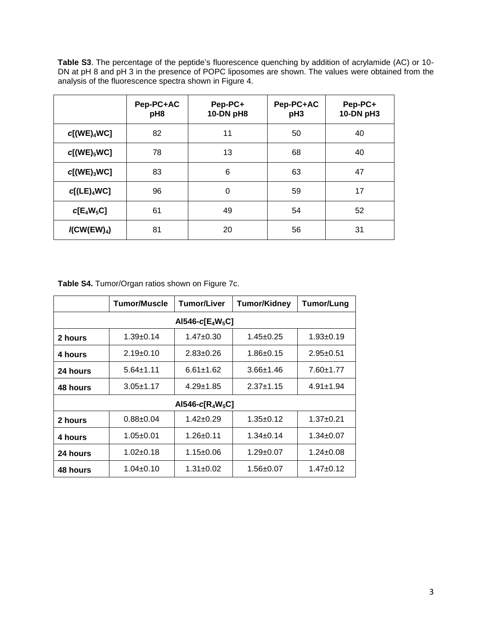**Table S3**. The percentage of the peptide's fluorescence quenching by addition of acrylamide (AC) or 10- DN at pH 8 and pH 3 in the presence of POPC liposomes are shown. The values were obtained from the analysis of the fluorescence spectra shown in Figure 4.

|                                     | Pep-PC+AC<br>pH8 | Pep-PC+<br>10-DN pH8 | Pep-PC+AC<br>pH <sub>3</sub> | Pep-PC+<br>10-DN pH3 |
|-------------------------------------|------------------|----------------------|------------------------------|----------------------|
| $c[(WE)_4WC]$                       | 82               | 11                   | 50                           | 40                   |
| $c[(WE)_5WC]$                       | 78               | 13                   | 68                           | 40                   |
| $c[(WE)_3WC]$                       | 83               | 6                    | 63                           | 47                   |
| $c[(LE)_4WC]$                       | 96               | 0                    | 59                           | 17                   |
| $c[E_4W_5C]$                        | 61               | 49                   | 54                           | 52                   |
| $\mathcal{K}$ CW(EW) <sub>4</sub> ) | 81               | 20                   | 56                           | 31                   |

**Table S4.** Tumor/Organ ratios shown on Figure 7c.

|                      | <b>Tumor/Muscle</b> | <b>Tumor/Liver</b> | <b>Tumor/Kidney</b> | <b>Tumor/Lung</b> |  |  |
|----------------------|---------------------|--------------------|---------------------|-------------------|--|--|
| AI546-c[ $E_4W_5C$ ] |                     |                    |                     |                   |  |  |
| 2 hours              | $1.39+0.14$         | $1.47 \pm 0.30$    | $1.45 \pm 0.25$     | $1.93 + 0.19$     |  |  |
| 4 hours              | $2.19+0.10$         | $2.83 + 0.26$      | $1.86 \pm 0.15$     | $2.95 \pm 0.51$   |  |  |
| 24 hours             | $5.64 \pm 1.11$     | $6.61 \pm 1.62$    | $3.66 \pm 1.46$     | $7.60 \pm 1.77$   |  |  |
| 48 hours             | $3.05 \pm 1.17$     | $4.29 \pm 1.85$    | $2.37 + 1.15$       | $4.91 \pm 1.94$   |  |  |
| AI546-c[ $R_4W_5C$ ] |                     |                    |                     |                   |  |  |
| 2 hours              | $0.88 + 0.04$       | $1.42 \pm 0.29$    | $1.35 \pm 0.12$     | $1.37 + 0.21$     |  |  |
| 4 hours              | $1.05 \pm 0.01$     | $1.26 \pm 0.11$    | $1.34 \pm 0.14$     | $1.34 \pm 0.07$   |  |  |
| 24 hours             | $1.02 + 0.18$       | $1.15 \pm 0.06$    | $1.29 \pm 0.07$     | $1.24 \pm 0.08$   |  |  |
| 48 hours             | $1.04 \pm 0.10$     | $1.31 \pm 0.02$    | $1.56 \pm 0.07$     | $1.47 + 0.12$     |  |  |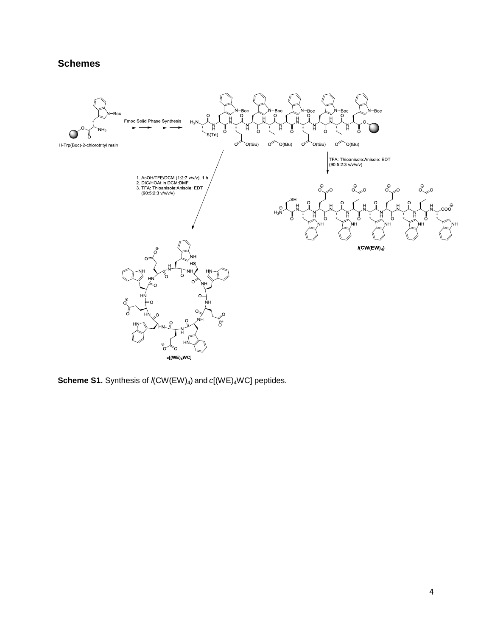### **Schemes**



**Scheme S1.** Synthesis of  $\ell$ (CW(EW)<sub>4</sub>) and *c*[(WE)<sub>4</sub>WC] peptides.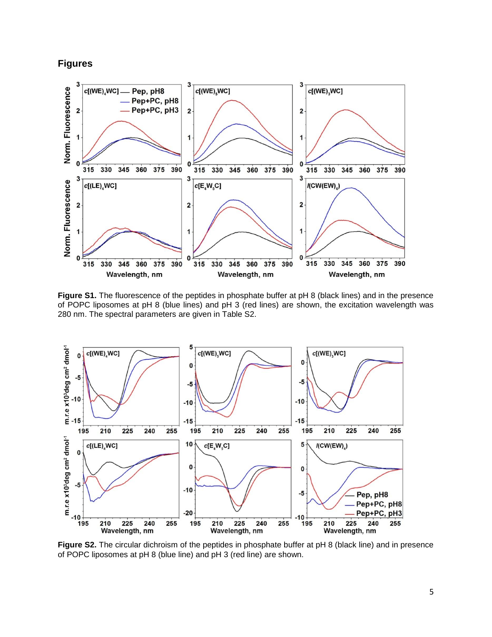#### **Figures**



**Figure S1.** The fluorescence of the peptides in phosphate buffer at pH 8 (black lines) and in the presence of POPC liposomes at pH 8 (blue lines) and pH 3 (red lines) are shown, the excitation wavelength was 280 nm. The spectral parameters are given in Table S2.



**Figure S2.** The circular dichroism of the peptides in phosphate buffer at pH 8 (black line) and in presence of POPC liposomes at pH 8 (blue line) and pH 3 (red line) are shown.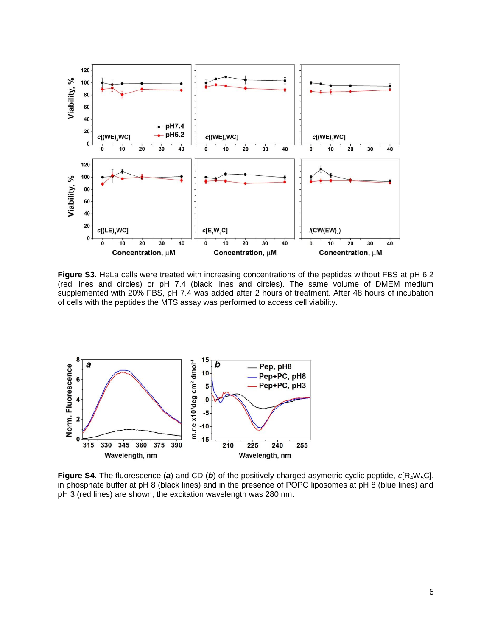

**Figure S3.** HeLa cells were treated with increasing concentrations of the peptides without FBS at pH 6.2 (red lines and circles) or pH 7.4 (black lines and circles). The same volume of DMEM medium supplemented with 20% FBS, pH 7.4 was added after 2 hours of treatment. After 48 hours of incubation of cells with the peptides the MTS assay was performed to access cell viability.



**Figure S4.** The fluorescence (a) and CD (b) of the positively-charged asymetric cyclic peptide,  $c[R_4W_5Cl]$ , in phosphate buffer at pH 8 (black lines) and in the presence of POPC liposomes at pH 8 (blue lines) and pH 3 (red lines) are shown, the excitation wavelength was 280 nm.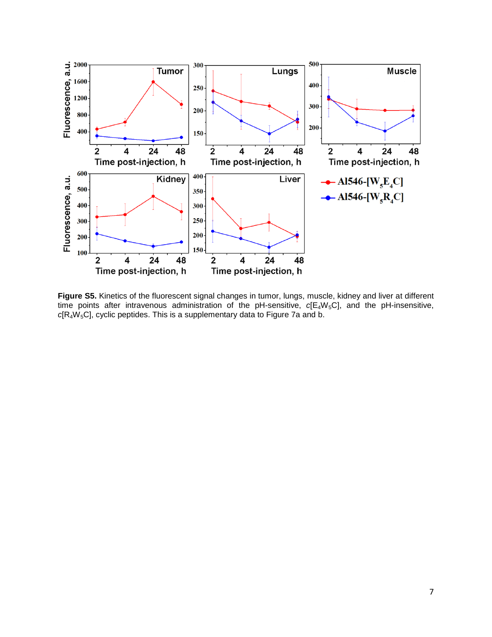

**Figure S5.** Kinetics of the fluorescent signal changes in tumor, lungs, muscle, kidney and liver at different time points after intravenous administration of the pH-sensitive,  $c[E_4W_5C]$ , and the pH-insensitive, *c*[R4W5C], cyclic peptides. This is a supplementary data to Figure 7a and b.